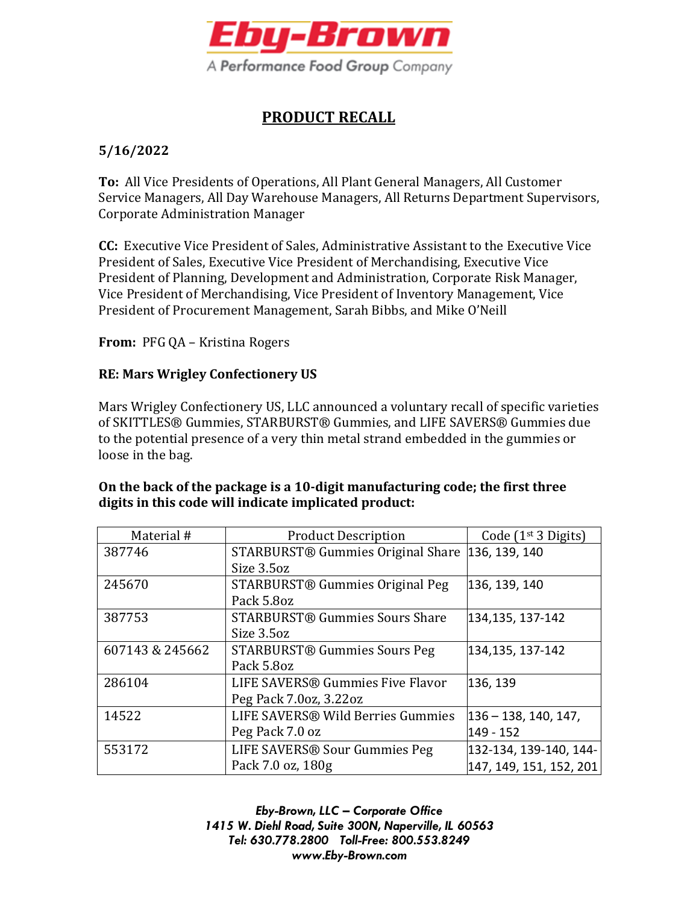

## **PRODUCT RECALL**

## **5/16/2022**

**To:** All Vice Presidents of Operations, All Plant General Managers, All Customer Service Managers, All Day Warehouse Managers, All Returns Department Supervisors, Corporate Administration Manager

**CC:** Executive Vice President of Sales, Administrative Assistant to the Executive Vice President of Sales, Executive Vice President of Merchandising, Executive Vice President of Planning, Development and Administration, Corporate Risk Manager, Vice President of Merchandising, Vice President of Inventory Management, Vice President of Procurement Management, Sarah Bibbs, and Mike O'Neill

**From:** PFG QA – Kristina Rogers

## **RE: Mars Wrigley Confectionery US**

Mars Wrigley Confectionery US, LLC announced a voluntary recall of specific varieties of SKITTLES® Gummies, STARBURST® Gummies, and LIFE SAVERS® Gummies due to the potential presence of a very thin metal strand embedded in the gummies or loose in the bag.

## **On the back of the package is a 10-digit manufacturing code; the first three digits in this code will indicate implicated product:**

| Material #      | <b>Product Description</b>            | Code $(1st 3$ Digits)   |
|-----------------|---------------------------------------|-------------------------|
| 387746          | STARBURST® Gummies Original Share     | 136, 139, 140           |
|                 | Size 3.5oz                            |                         |
| 245670          | STARBURST® Gummies Original Peg       | 136, 139, 140           |
|                 | Pack 5.8oz                            |                         |
| 387753          | <b>STARBURST® Gummies Sours Share</b> | 134,135, 137-142        |
|                 | Size 3.5oz                            |                         |
| 607143 & 245662 | <b>STARBURST® Gummies Sours Peg</b>   | 134,135, 137-142        |
|                 | Pack 5.8oz                            |                         |
| 286104          | LIFE SAVERS® Gummies Five Flavor      | 136, 139                |
|                 | Peg Pack 7.0oz, 3.22oz                |                         |
| 14522           | LIFE SAVERS® Wild Berries Gummies     | $136 - 138, 140, 147,$  |
|                 | Peg Pack 7.0 oz                       | 149 - 152               |
| 553172          | LIFE SAVERS® Sour Gummies Peg         | 132-134, 139-140, 144-  |
|                 | Pack 7.0 oz, 180g                     | 147, 149, 151, 152, 201 |

*Eby-Brown, LLC – Corporate Office 1415 W. Diehl Road, Suite 300N, Naperville, IL 60563 Tel: 630.778.2800 Toll-Free: 800.553.8249 www.Eby-Brown.com*